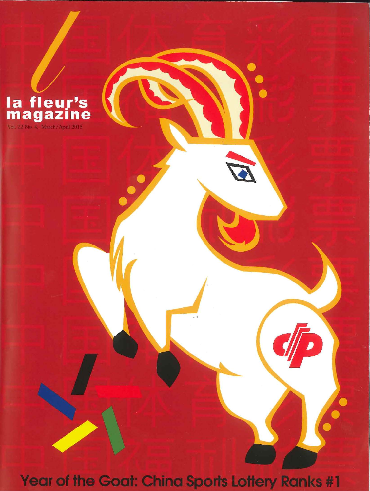

Year of the Goat: China Sports Lottery Ranks #1